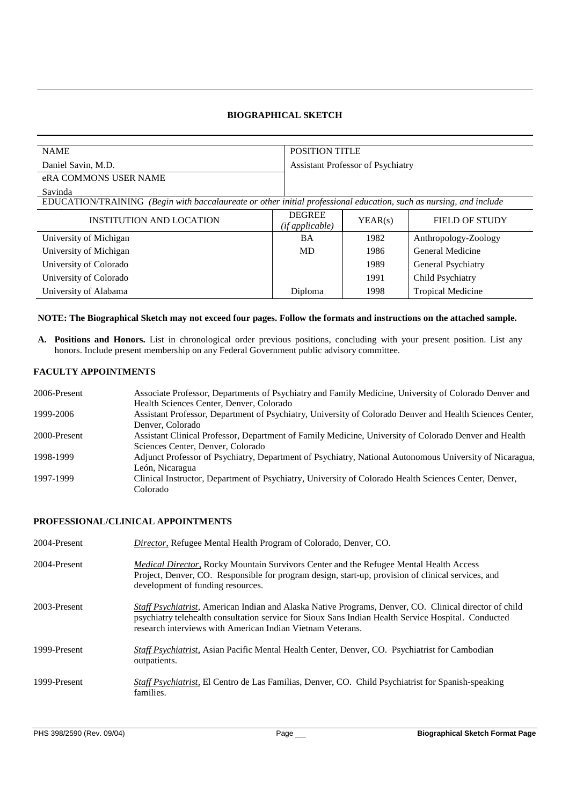# **BIOGRAPHICAL SKETCH**

| <b>NAME</b>                                                                                                        |                 | <b>POSITION TITLE</b>                    |                          |  |
|--------------------------------------------------------------------------------------------------------------------|-----------------|------------------------------------------|--------------------------|--|
| Daniel Savin, M.D.                                                                                                 |                 | <b>Assistant Professor of Psychiatry</b> |                          |  |
| eRA COMMONS USER NAME                                                                                              |                 |                                          |                          |  |
| Savinda                                                                                                            |                 |                                          |                          |  |
| EDUCATION/TRAINING (Begin with baccalaureate or other initial professional education, such as nursing, and include |                 |                                          |                          |  |
| INSTITUTION AND LOCATION                                                                                           | <b>DEGREE</b>   | YEAR(s)                                  | FIELD OF STUDY           |  |
|                                                                                                                    | (if applicable) |                                          |                          |  |
| University of Michigan                                                                                             | BA              | 1982                                     | Anthropology-Zoology     |  |
| University of Michigan                                                                                             | MD              | 1986                                     | General Medicine         |  |
| University of Colorado                                                                                             |                 | 1989                                     | General Psychiatry       |  |
| University of Colorado                                                                                             |                 | 1991                                     | Child Psychiatry         |  |
| University of Alabama                                                                                              | Diploma         | 1998                                     | <b>Tropical Medicine</b> |  |

#### **NOTE: The Biographical Sketch may not exceed four pages. Follow the formats and instructions on the attached sample.**

**A. Positions and Honors.** List in chronological order previous positions, concluding with your present position. List any honors. Include present membership on any Federal Government public advisory committee.

# **FACULTY APPOINTMENTS**

| Associate Professor, Departments of Psychiatry and Family Medicine, University of Colorado Denver and    |
|----------------------------------------------------------------------------------------------------------|
|                                                                                                          |
| Assistant Professor, Department of Psychiatry, University of Colorado Denver and Health Sciences Center, |
|                                                                                                          |
| Assistant Clinical Professor, Department of Family Medicine, University of Colorado Denver and Health    |
|                                                                                                          |
| Adjunct Professor of Psychiatry, Department of Psychiatry, National Autonomous University of Nicaragua,  |
|                                                                                                          |
|                                                                                                          |
|                                                                                                          |
| Clinical Instructor, Department of Psychiatry, University of Colorado Health Sciences Center, Denver,    |

### **PROFESSIONAL/CLINICAL APPOINTMENTS**

| 2004-Present | <i>Director</i> , Refugee Mental Health Program of Colorado, Denver, CO.                                                                                                                                                                                                            |
|--------------|-------------------------------------------------------------------------------------------------------------------------------------------------------------------------------------------------------------------------------------------------------------------------------------|
| 2004-Present | <i>Medical Director</i> , Rocky Mountain Survivors Center and the Refugee Mental Health Access<br>Project, Denver, CO. Responsible for program design, start-up, provision of clinical services, and<br>development of funding resources.                                           |
| 2003-Present | <i>Staff Psychiatrist</i> , American Indian and Alaska Native Programs, Denver, CO. Clinical director of child<br>psychiatry telehealth consultation service for Sioux Sans Indian Health Service Hospital. Conducted<br>research interviews with American Indian Vietnam Veterans. |
| 1999-Present | <i>Staff Psychiatrist</i> , Asian Pacific Mental Health Center, Denver, CO. Psychiatrist for Cambodian<br>outpatients.                                                                                                                                                              |
| 1999-Present | <i>Staff Psychiatrist</i> , El Centro de Las Familias, Denver, CO. Child Psychiatrist for Spanish-speaking<br>families.                                                                                                                                                             |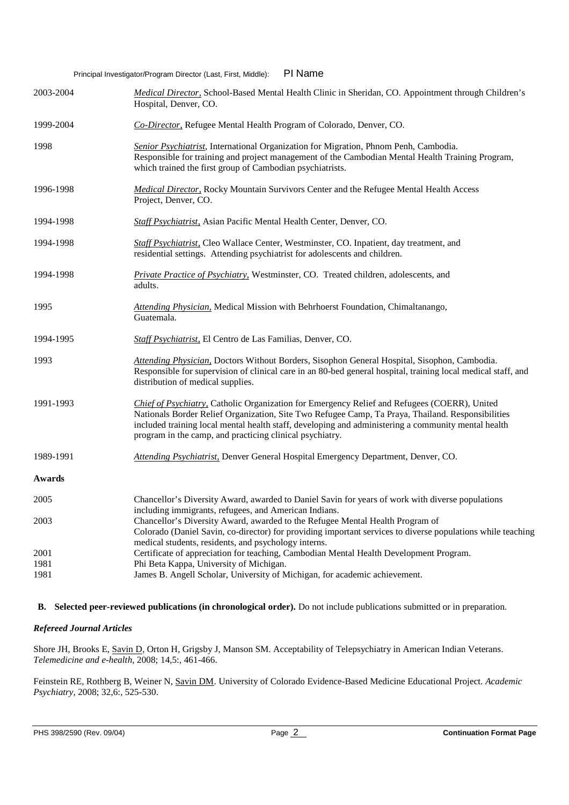Principal Investigator/Program Director (Last, First, Middle): PI Name

| 2003-2004            | Medical Director, School-Based Mental Health Clinic in Sheridan, CO. Appointment through Children's<br>Hospital, Denver, CO.                                                                                                                                                                                                                                         |
|----------------------|----------------------------------------------------------------------------------------------------------------------------------------------------------------------------------------------------------------------------------------------------------------------------------------------------------------------------------------------------------------------|
| 1999-2004            | Co-Director, Refugee Mental Health Program of Colorado, Denver, CO.                                                                                                                                                                                                                                                                                                  |
| 1998                 | <i>Senior Psychiatrist</i> , International Organization for Migration, Phnom Penh, Cambodia.<br>Responsible for training and project management of the Cambodian Mental Health Training Program,<br>which trained the first group of Cambodian psychiatrists.                                                                                                        |
| 1996-1998            | Medical Director, Rocky Mountain Survivors Center and the Refugee Mental Health Access<br>Project, Denver, CO.                                                                                                                                                                                                                                                       |
| 1994-1998            | Staff Psychiatrist, Asian Pacific Mental Health Center, Denver, CO.                                                                                                                                                                                                                                                                                                  |
| 1994-1998            | Staff Psychiatrist, Cleo Wallace Center, Westminster, CO. Inpatient, day treatment, and<br>residential settings. Attending psychiatrist for adolescents and children.                                                                                                                                                                                                |
| 1994-1998            | Private Practice of Psychiatry, Westminster, CO. Treated children, adolescents, and<br>adults.                                                                                                                                                                                                                                                                       |
| 1995                 | Attending Physician, Medical Mission with Behrhoerst Foundation, Chimaltanango,<br>Guatemala.                                                                                                                                                                                                                                                                        |
| 1994-1995            | Staff Psychiatrist, El Centro de Las Familias, Denver, CO.                                                                                                                                                                                                                                                                                                           |
| 1993                 | Attending Physician, Doctors Without Borders, Sisophon General Hospital, Sisophon, Cambodia.<br>Responsible for supervision of clinical care in an 80-bed general hospital, training local medical staff, and<br>distribution of medical supplies.                                                                                                                   |
| 1991-1993            | Chief of Psychiatry, Catholic Organization for Emergency Relief and Refugees (COERR), United<br>Nationals Border Relief Organization, Site Two Refugee Camp, Ta Praya, Thailand. Responsibilities<br>included training local mental health staff, developing and administering a community mental health<br>program in the camp, and practicing clinical psychiatry. |
| 1989-1991            | Attending Psychiatrist, Denver General Hospital Emergency Department, Denver, CO.                                                                                                                                                                                                                                                                                    |
| Awards               |                                                                                                                                                                                                                                                                                                                                                                      |
| 2005                 | Chancellor's Diversity Award, awarded to Daniel Savin for years of work with diverse populations<br>including immigrants, refugees, and American Indians.                                                                                                                                                                                                            |
| 2003                 | Chancellor's Diversity Award, awarded to the Refugee Mental Health Program of<br>Colorado (Daniel Savin, co-director) for providing important services to diverse populations while teaching                                                                                                                                                                         |
| 2001<br>1981<br>1981 | medical students, residents, and psychology interns.<br>Certificate of appreciation for teaching, Cambodian Mental Health Development Program.<br>Phi Beta Kappa, University of Michigan.<br>James B. Angell Scholar, University of Michigan, for academic achievement.                                                                                              |

**B. Selected peer-reviewed publications (in chronological order).** Do not include publications submitted or in preparation.

# *Refereed Journal Articles*

Shore JH, Brooks E, Savin D, Orton H, Grigsby J, Manson SM. Acceptability of Telepsychiatry in American Indian Veterans. *Telemedicine and e-health*, 2008; 14,5:, 461-466.

Feinstein RE, Rothberg B, Weiner N, Savin DM. University of Colorado Evidence-Based Medicine Educational Project. *Academic Psychiatry,* 2008; 32,6:, 525-530.